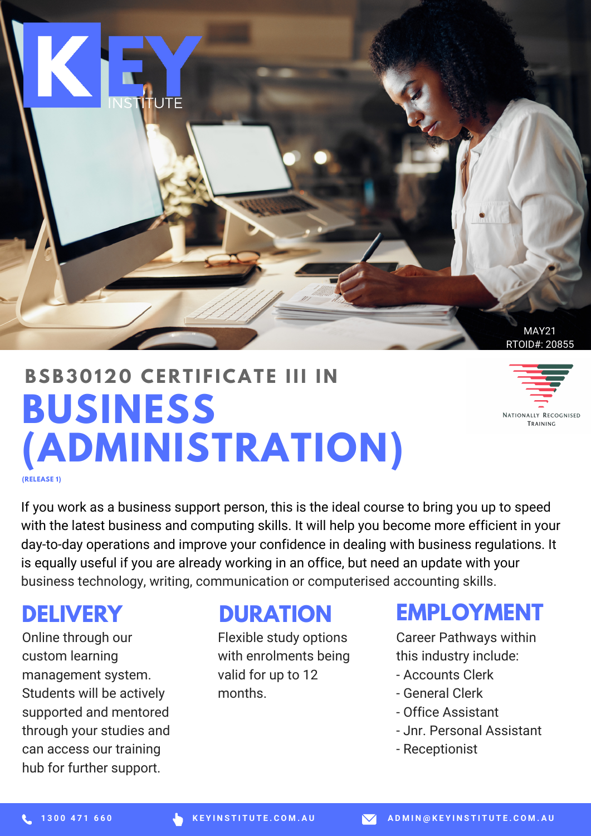

# **BUSINESS (ADMINISTRATION) BSB3 0 120 CE R T I F ICAT E III I N**

NATIONALLY RECOGNISED TRAINING

**(RELEASE 1)**

If you work as a business support person, this is the ideal course to bring you up to speed with the latest business and computing skills. It will help you become more efficient in your day-to-day operations and improve your confidence in dealing with business regulations. It is equally useful if you are already working in an office, but need an update with your business technology, writing, communication or computerised accounting skills.

## **DELIVERY**

Online through our custom learning management system. Students will be actively supported and mentored through your studies and can access our training hub for further support.

#### **DURATION**

Flexible study options with enrolments being valid for up to 12 months.

### **EMPLOYMENT**

Career Pathways within this industry include:

- Accounts Clerk
- General Clerk
- Office Assistant
- Jnr. Personal Assistant
- Receptionist